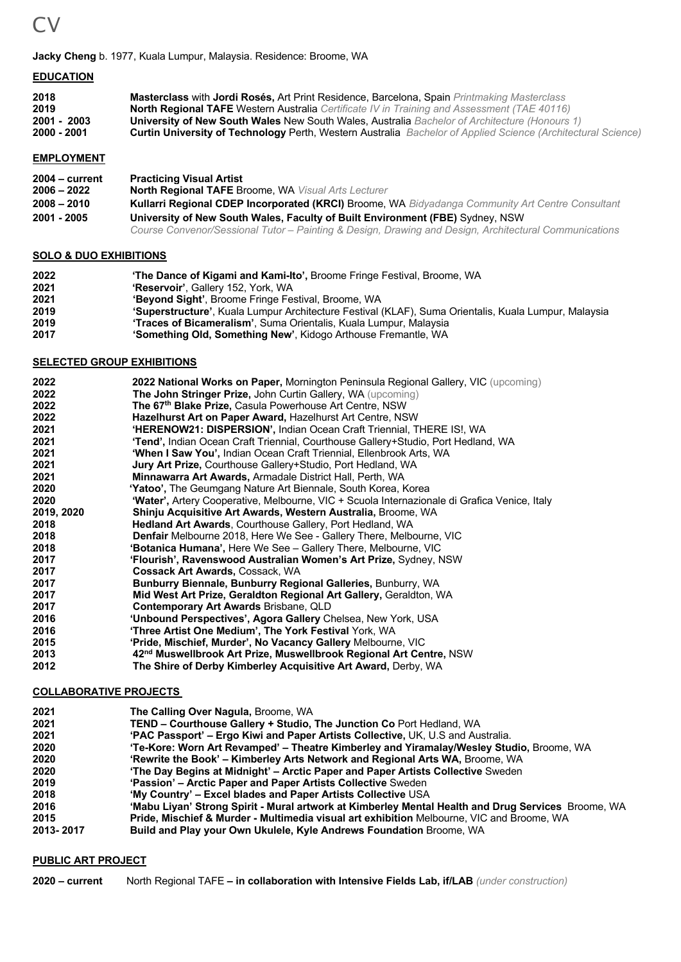

#### **Jacky Cheng** b. 1977, Kuala Lumpur, Malaysia. Residence: Broome, WA

#### **EDUCATION**

| 2018        | <b>Masterclass with Jordi Rosés, Art Print Residence, Barcelona, Spain Printmaking Masterclass</b>                  |
|-------------|---------------------------------------------------------------------------------------------------------------------|
| 2019        | <b>North Regional TAFE Western Australia</b> Certificate IV in Training and Assessment (TAE 40116)                  |
| 2001 - 2003 | University of New South Wales New South Wales, Australia Bachelor of Architecture (Honours 1)                       |
| 2000 - 2001 | <b>Curtin University of Technology Perth, Western Australia</b> Bachelor of Applied Science (Architectural Science) |

## **EMPLOYMENT**

| $2004 - current$                                                                             | <b>Practicing Visual Artist</b>                                                                         |  |  |
|----------------------------------------------------------------------------------------------|---------------------------------------------------------------------------------------------------------|--|--|
| $2006 - 2022$                                                                                | <b>North Regional TAFE Broome, WA Visual Arts Lecturer</b>                                              |  |  |
| $2008 - 2010$                                                                                | <b>Kullarri Regional CDEP Incorporated (KRCI) Broome, WA Bidyadanga Community Art Centre Consultant</b> |  |  |
| University of New South Wales, Faculty of Built Environment (FBE) Sydney, NSW<br>2001 - 2005 |                                                                                                         |  |  |
|                                                                                              | Course Convenor/Sessional Tutor - Painting & Design, Drawing and Design, Architectural Communications   |  |  |

#### **SOLO & DUO EXHIBITIONS**

| 2022 | 'The Dance of Kigami and Kami-Ito', Broome Fringe Festival, Broome, WA                               |
|------|------------------------------------------------------------------------------------------------------|
| 2021 | 'Reservoir', Gallery 152, York, WA                                                                   |
| 2021 | 'Beyond Sight', Broome Fringe Festival, Broome, WA                                                   |
| 2019 | "Superstructure", Kuala Lumpur Architecture Festival (KLAF), Suma Orientalis, Kuala Lumpur, Malaysia |
| 2019 | <b>Traces of Bicameralism'</b> , Suma Orientalis, Kuala Lumpur, Malaysia                             |
| 2017 | 'Something Old, Something New', Kidogo Arthouse Fremantle, WA                                        |

#### **SELECTED GROUP EXHIBITIONS**

| 2022       | 2022 National Works on Paper, Mornington Peninsula Regional Gallery, VIC (upcoming)          |
|------------|----------------------------------------------------------------------------------------------|
| 2022       | <b>The John Stringer Prize, John Curtin Gallery, WA (upcoming)</b>                           |
| 2022       | The 67 <sup>th</sup> Blake Prize, Casula Powerhouse Art Centre, NSW                          |
| 2022       | <b>Hazelhurst Art on Paper Award, Hazelhurst Art Centre, NSW</b>                             |
| 2021       | 'HERENOW21: DISPERSION', Indian Ocean Craft Triennial, THERE IS!, WA                         |
| 2021       | 'Tend', Indian Ocean Craft Triennial, Courthouse Gallery+Studio, Port Hedland, WA            |
| 2021       | 'When I Saw You', Indian Ocean Craft Triennial, Ellenbrook Arts, WA                          |
| 2021       | <b>Jury Art Prize, Courthouse Gallery+Studio, Port Hedland, WA</b>                           |
| 2021       | Minnawarra Art Awards, Armadale District Hall, Perth, WA                                     |
| 2020       | <b>'Yatoo',</b> The Geumgang Nature Art Biennale, South Korea, Korea                         |
| 2020       | 'Water', Artery Cooperative, Melbourne, VIC + Scuola Internazionale di Grafica Venice, Italy |
| 2019, 2020 | Shinju Acquisitive Art Awards, Western Australia, Broome, WA                                 |
| 2018       | Hedland Art Awards, Courthouse Gallery, Port Hedland, WA                                     |
| 2018       | <b>Denfair</b> Melbourne 2018, Here We See - Gallery There, Melbourne, VIC                   |
| 2018       | 'Botanica Humana', Here We See - Gallery There, Melbourne, VIC                               |
| 2017       | 'Flourish', Ravenswood Australian Women's Art Prize, Sydney, NSW                             |
| 2017       | <b>Cossack Art Awards, Cossack, WA</b>                                                       |
| 2017       | Bunburry Biennale, Bunburry Regional Galleries, Bunburry, WA                                 |
| 2017       | Mid West Art Prize, Geraldton Regional Art Gallery, Geraldton, WA                            |
| 2017       | <b>Contemporary Art Awards Brisbane, QLD</b>                                                 |
| 2016       | 'Unbound Perspectives', Agora Gallery Chelsea, New York, USA                                 |
| 2016       | 'Three Artist One Medium', The York Festival York, WA                                        |
| 2015       | 'Pride, Mischief, Murder', No Vacancy Gallery Melbourne, VIC                                 |
| 2013       | 42 <sup>nd</sup> Muswellbrook Art Prize, Muswellbrook Regional Art Centre, NSW               |
| 2012       | The Shire of Derby Kimberley Acquisitive Art Award, Derby, WA                                |
|            |                                                                                              |

#### **COLLABORATIVE PROJECTS**

| 2021         | The Calling Over Nagula, Broome, WA                                                                                                                            |
|--------------|----------------------------------------------------------------------------------------------------------------------------------------------------------------|
| 2021<br>2021 | TEND - Courthouse Gallery + Studio, The Junction Co Port Hedland, WA<br><b>'PAC Passport' – Ergo Kiwi and Paper Artists Collective, UK, U.S and Australia.</b> |
| 2020         | 'Te-Kore: Worn Art Revamped' – Theatre Kimberley and Yiramalay/Wesley Studio, Broome, WA                                                                       |
| 2020         | 'Rewrite the Book' – Kimberley Arts Network and Regional Arts WA, Broome, WA                                                                                   |
| 2020         | 'The Day Begins at Midnight' – Arctic Paper and Paper Artists Collective Sweden                                                                                |
| 2019         | 'Passion' - Arctic Paper and Paper Artists Collective Sweden                                                                                                   |
| 2018         | 'My Country' – Excel blades and Paper Artists Collective USA                                                                                                   |
| 2016         | 'Mabu Liyan' Strong Spirit - Mural artwork at Kimberley Mental Health and Drug Services Broome, WA                                                             |
| 2015         | <b>Pride, Mischief &amp; Murder - Multimedia visual art exhibition Melbourne, VIC and Broome, WA</b>                                                           |
| 2013-2017    | Build and Play your Own Ukulele, Kyle Andrews Foundation Broome, WA                                                                                            |

## **PUBLIC ART PROJECT**

**2020 – current** North Regional TAFE **– in collaboration with Intensive Fields Lab, if/LAB** *(under construction)*